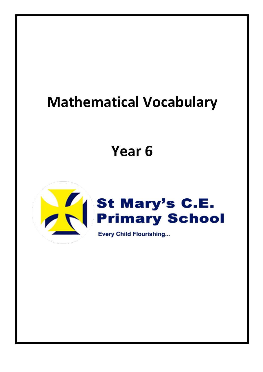## **Mathematical Vocabulary**

## **Year 6**

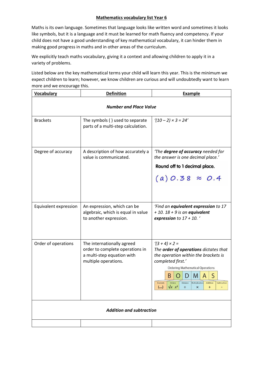## **Mathematics vocabulary list Year 6**

Maths is its own language. Sometimes that language looks like written word and sometimes it looks like symbols, but it is a language and it must be learned for math fluency and competency. If your child does not have a good understanding of key mathematical vocabulary, it can hinder them in making good progress in maths and in other areas of the curriculum.

We explicitly teach maths vocabulary, giving it a context and allowing children to apply it in a variety of problems.

Listed below are the key mathematical terms your child will learn this year. This is the minimum we expect children to learn; however, we know children are curious and will undoubtedly want to learn more and we encourage this.

| <b>Vocabulary</b>               | <b>Definition</b>                                                                                                   | <b>Example</b>                                                                                                                                                                                                                                                                                                              |
|---------------------------------|---------------------------------------------------------------------------------------------------------------------|-----------------------------------------------------------------------------------------------------------------------------------------------------------------------------------------------------------------------------------------------------------------------------------------------------------------------------|
| <b>Number and Place Value</b>   |                                                                                                                     |                                                                                                                                                                                                                                                                                                                             |
| <b>Brackets</b>                 | The symbols () used to separate<br>parts of a multi-step calculation.                                               | $(10 - 2) \times 3 = 24'$                                                                                                                                                                                                                                                                                                   |
| Degree of accuracy              | A description of how accurately a<br>value is communicated.                                                         | 'The degree of accuracy needed for<br>the answer is one decimal place.'<br>Round off to 1 decimal place.<br>$(a) 0.38 \approx 0.4$                                                                                                                                                                                          |
| Equivalent expression           | An expression, which can be<br>algebraic, which is equal in value<br>to another expression.                         | 'Find an equivalent expression to 17<br>$+ 10.18 + 9$ is an equivalent<br>expression to $17 + 10$ .                                                                                                                                                                                                                         |
| Order of operations             | The internationally agreed<br>order to complete operations in<br>a multi-step equation with<br>multiple operations. | $(3 + 4) \times 2 =$<br>The order of operations dictates that<br>the operation within the brackets is<br>completed first.'<br><b>Ordering Mathematical Operations</b><br>B<br>S<br>M<br>Orders<br>Division<br><b>Brackets</b><br>Multiplication<br>Addition<br>Subtraction<br>$\sqrt{x}$ $x^2$<br>()<br>÷<br>×<br>$\pmb{+}$ |
| <b>Addition and subtraction</b> |                                                                                                                     |                                                                                                                                                                                                                                                                                                                             |
|                                 |                                                                                                                     |                                                                                                                                                                                                                                                                                                                             |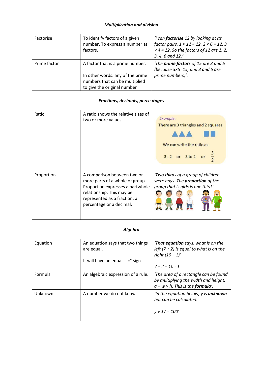| <b>Multiplication and division</b> |                                                                                                                                                                                             |                                                                                                                                                                            |
|------------------------------------|---------------------------------------------------------------------------------------------------------------------------------------------------------------------------------------------|----------------------------------------------------------------------------------------------------------------------------------------------------------------------------|
| Factorise                          | To identify factors of a given<br>number. To express a number as<br>factors.                                                                                                                | 'I can <b>factorise</b> 12 by looking at its<br>factor pairs. $1 \times 12 = 12$ , $2 \times 6 = 12$ , 3<br>$x$ 4 = 12. So the factors of 12 are 1, 2,<br>3, 4, 6 and 12.' |
| Prime factor                       | A factor that is a prime number.<br>In other words: any of the prime<br>numbers that can be multiplied<br>to give the original number                                                       | 'The <b>prime factors</b> of 15 are 3 and 5<br>(because $3\times5=15$ , and 3 and 5 are<br>prime numbers)'.                                                                |
|                                    | Fractions, decimals, perce itages                                                                                                                                                           |                                                                                                                                                                            |
| Ratio                              | A ratio shows the relative sizes of<br>two or more values.                                                                                                                                  | Example:<br>There are 3 triangles and 2 squares.<br>We can write the ratio as<br>$3:2$ or $3\times 2$                                                                      |
| Proportion                         | A comparison between two or<br>more parts of a whole or group.<br>Proportion expresses a partwhole<br>relationship. This may be<br>represented as a fraction, a<br>percentage or a decimal. | 'Two thirds of a group of children<br>were boys. The proportion of the<br>group that is girls is one third.'                                                               |
| Algebra                            |                                                                                                                                                                                             |                                                                                                                                                                            |
| Equation                           | An equation says that two things<br>are equal.<br>It will have an equals "=" sign                                                                                                           | 'That equation says: what is on the<br>left $(7 + 2)$ is equal to what is on the<br>right $(10 - 1)'$<br>$7 + 2 = 10 - 1$                                                  |
| Formula                            | An algebraic expression of a rule.                                                                                                                                                          | 'The area of a rectangle can be found<br>by multiplying the width and height.<br>$a = w \times h$ . This is the formula'.                                                  |
| Unknown                            | A number we do not know.                                                                                                                                                                    | 'In the equation below, y is <b>unknown</b><br>but can be calculated.<br>$y + 17 = 100'$                                                                                   |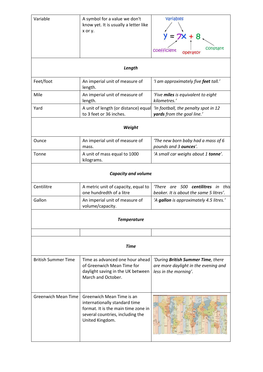| Variable                   | A symbol for a value we don't<br>know yet. It is usually a letter like<br>x or y.                                                                        | Variables                                                                                           |  |
|----------------------------|----------------------------------------------------------------------------------------------------------------------------------------------------------|-----------------------------------------------------------------------------------------------------|--|
|                            |                                                                                                                                                          |                                                                                                     |  |
|                            |                                                                                                                                                          | constant<br><b>COEFFICIENT</b><br>operator                                                          |  |
|                            | Length                                                                                                                                                   |                                                                                                     |  |
| Feet/foot                  | An imperial unit of measure of<br>length.                                                                                                                | 'I am approximately five feet tall.'                                                                |  |
| Mile                       | An imperial unit of measure of<br>length.                                                                                                                | 'Five miles is equivalent to eight<br>kilometres.'                                                  |  |
| Yard                       | A unit of length (or distance) equal<br>to 3 feet or 36 inches.                                                                                          | 'In football, the penalty spot in 12<br>yards from the goal line.'                                  |  |
| Weight                     |                                                                                                                                                          |                                                                                                     |  |
| Ounce                      | An imperial unit of measure of<br>mass.                                                                                                                  | 'The new born baby had a mass of 6<br>pounds and 3 ounces'.                                         |  |
| Tonne                      | A unit of mass equal to 1000<br>kilograms.                                                                                                               | 'A small car weighs about 1 tonne'.                                                                 |  |
| <b>Capacity and volume</b> |                                                                                                                                                          |                                                                                                     |  |
| Centilitre                 | A metric unit of capacity, equal to<br>one hundredth of a litre                                                                                          | 'There are 500 centilitres in this<br>beaker. It is about the same 5 litres'.                       |  |
| Gallon                     | An imperial unit of measure of<br>volume/capacity.                                                                                                       | 'A gallon is approximately 4.5 litres.'                                                             |  |
|                            | <b>Temperature</b>                                                                                                                                       |                                                                                                     |  |
|                            |                                                                                                                                                          |                                                                                                     |  |
| <b>Time</b>                |                                                                                                                                                          |                                                                                                     |  |
| <b>British Summer Time</b> | Time as advanced one hour ahead<br>of Greenwich Mean Time for<br>daylight saving in the UK between<br>March and October.                                 | 'During British Summer Time, there<br>are more daylight in the evening and<br>less in the morning'. |  |
| <b>Greenwich Mean Time</b> | Greenwich Mean Time is an<br>internationally standard time<br>format. It is the main time zone in<br>several countries, including the<br>United Kingdom. |                                                                                                     |  |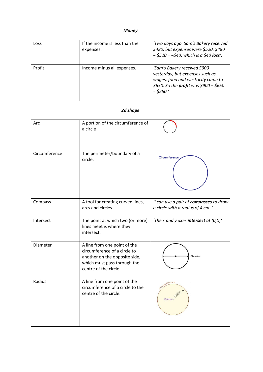| <b>Money</b>  |                                                                                                                                                       |                                                                                                                                                                 |
|---------------|-------------------------------------------------------------------------------------------------------------------------------------------------------|-----------------------------------------------------------------------------------------------------------------------------------------------------------------|
| Loss          | If the income is less than the<br>expenses.                                                                                                           | 'Two days ago. Sam's Bakery received<br>\$480, but expenses were \$520. \$480<br>$-$ \$520 = $-$ \$40, which is a \$40 loss'.                                   |
| Profit        | Income minus all expenses.                                                                                                                            | 'Sam's Bakery received \$900<br>yesterday, but expenses such as<br>wages, food and electricity came to<br>\$650. So the profit was \$900 - \$650<br>$=$ \$250.' |
| 2d shape      |                                                                                                                                                       |                                                                                                                                                                 |
| Arc           | A portion of the circumference of<br>a circle                                                                                                         |                                                                                                                                                                 |
| Circumference | The perimeter/boundary of a<br>circle.                                                                                                                | <b>Circumference</b>                                                                                                                                            |
| Compass       | A tool for creating curved lines,<br>arcs and circles.                                                                                                | 'I can use a pair of compasses to draw<br>a circle with a radius of 4 cm. '                                                                                     |
| Intersect     | The point at which two (or more)  <br>lines meet is where they<br>intersect.                                                                          | 'The x and y axes intersect at $(0,0)'$                                                                                                                         |
| Diameter      | A line from one point of the<br>circumference of a circle to<br>another on the opposite side,<br>which must pass through the<br>centre of the circle. | <b>Diameter</b>                                                                                                                                                 |
| Radius        | A line from one point of the<br>circumference of a circle to the<br>centre of the circle.                                                             | ference<br>Cente                                                                                                                                                |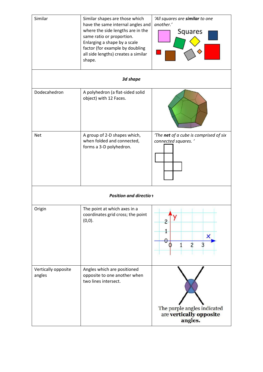| Similar                       | Similar shapes are those which<br>have the same internal angles and<br>where the side lengths are in the<br>same ratio or proportion.<br>Enlarging a shape by a scale<br>factor (for example by doubling<br>all side lengths) creates a similar<br>shape. | 'All squares are similar to one<br>another.'<br>Squares           |  |
|-------------------------------|-----------------------------------------------------------------------------------------------------------------------------------------------------------------------------------------------------------------------------------------------------------|-------------------------------------------------------------------|--|
|                               | 3d shape                                                                                                                                                                                                                                                  |                                                                   |  |
| Dodecahedron                  | A polyhedron (a flat-sided solid<br>object) with 12 Faces.                                                                                                                                                                                                |                                                                   |  |
| <b>Net</b>                    | A group of 2-D shapes which,<br>when folded and connected,<br>forms a 3-D polyhedron.                                                                                                                                                                     | 'The net of a cube is comprised of six<br>connected squares. '    |  |
| <b>Position and direction</b> |                                                                                                                                                                                                                                                           |                                                                   |  |
| Origin                        | The point at which axes in a<br>coordinates grid cross; the point<br>(0,0).                                                                                                                                                                               | 2<br>1<br>×<br>θ<br>$\overline{c}$<br>3                           |  |
| Vertically opposite<br>angles | Angles which are positioned<br>opposite to one another when<br>two lines intersect.                                                                                                                                                                       | The purple angles indicated<br>are vertically opposite<br>angles. |  |